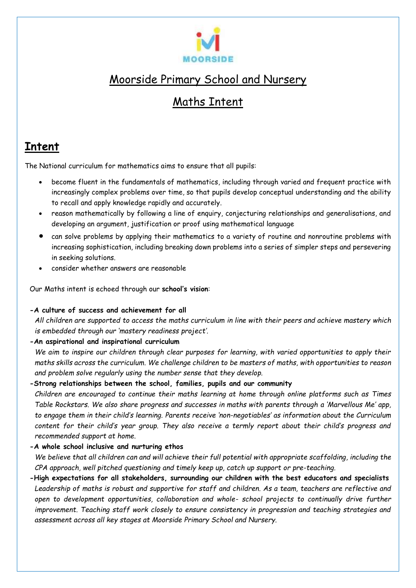

# Moorside Primary School and Nursery

## Maths Intent

## **Intent**

The National curriculum for mathematics aims to ensure that all pupils:

- become fluent in the fundamentals of mathematics, including through varied and frequent practice with increasingly complex problems over time, so that pupils develop conceptual understanding and the ability to recall and apply knowledge rapidly and accurately.
- reason mathematically by following a line of enquiry, conjecturing relationships and generalisations, and developing an argument, justification or proof using mathematical language
- can solve problems by applying their mathematics to a variety of routine and nonroutine problems with increasing sophistication, including breaking down problems into a series of simpler steps and persevering in seeking solutions.
- consider whether answers are reasonable

Our Maths intent is echoed through our **school's vision**:

### **-A culture of success and achievement for all**

*All children are supported to access the maths curriculum in line with their peers and achieve mastery which is embedded through our 'mastery readiness project'.*

### **-An aspirational and inspirational curriculum**

*We aim to inspire our children through clear purposes for learning, with varied opportunities to apply their maths skills across the curriculum. We challenge children to be masters of maths, with opportunities to reason and problem solve regularly using the number sense that they develop.*

### **-Strong relationships between the school, families, pupils and our community**

*Children are encouraged to continue their maths learning at home through online platforms such as Times Table Rockstars. We also share progress and successes in maths with parents through a 'Marvellous Me' app, to engage them in their child's learning. Parents receive 'non-negotiables' as information about the Curriculum content for their child's year group. They also receive a termly report about their child's progress and recommended support at home.*

### **-A whole school inclusive and nurturing ethos**

*We believe that all children can and will achieve their full potential with appropriate scaffolding, including the CPA approach, well pitched questioning and timely keep up, catch up support or pre-teaching.*

**-High expectations for all stakeholders, surrounding our children with the best educators and specialists** *Leadership of maths is robust and supportive for staff and children. As a team, teachers are reflective and open to development opportunities, collaboration and whole- school projects to continually drive further improvement. Teaching staff work closely to ensure consistency in progression and teaching strategies and assessment across all key stages at Moorside Primary School and Nursery.*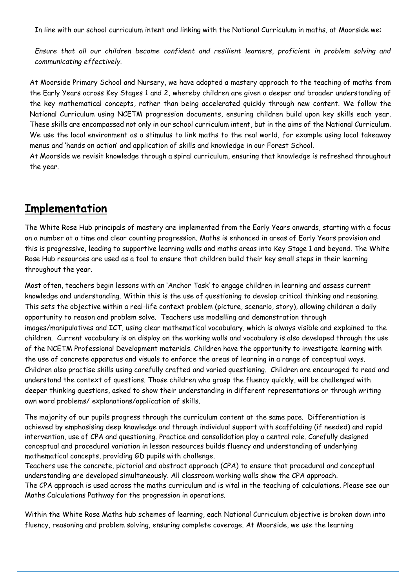In line with our school curriculum intent and linking with the National Curriculum in maths, at Moorside we:

*Ensure that all our children become confident and resilient learners, proficient in problem solving and communicating effectively.*

At Moorside Primary School and Nursery, we have adopted a mastery approach to the teaching of maths from the Early Years across Key Stages 1 and 2, whereby children are given a deeper and broader understanding of the key mathematical concepts, rather than being accelerated quickly through new content. We follow the National Curriculum using NCETM progression documents, ensuring children build upon key skills each year. These skills are encompassed not only in our school curriculum intent, but in the aims of the National Curriculum. We use the local environment as a stimulus to link maths to the real world, for example using local takeaway menus and 'hands on action' and application of skills and knowledge in our Forest School.

At Moorside we revisit knowledge through a spiral curriculum, ensuring that knowledge is refreshed throughout the year.

## **Implementation**

The White Rose Hub principals of mastery are implemented from the Early Years onwards, starting with a focus on a number at a time and clear counting progression. Maths is enhanced in areas of Early Years provision and this is progressive, leading to supportive learning walls and maths areas into Key Stage 1 and beyond. The White Rose Hub resources are used as a tool to ensure that children build their key small steps in their learning throughout the year.

Most often, teachers begin lessons with an 'Anchor Task' to engage children in learning and assess current knowledge and understanding. Within this is the use of questioning to develop critical thinking and reasoning. This sets the objective within a real-life context problem (picture, scenario, story), allowing children a daily opportunity to reason and problem solve. Teachers use modelling and demonstration through images/manipulatives and ICT, using clear mathematical vocabulary, which is always visible and explained to the children. Current vocabulary is on display on the working walls and vocabulary is also developed through the use of the NCETM Professional Development materials. Children have the opportunity to investigate learning with the use of concrete apparatus and visuals to enforce the areas of learning in a range of conceptual ways. Children also practise skills using carefully crafted and varied questioning. Children are encouraged to read and understand the context of questions. Those children who grasp the fluency quickly, will be challenged with deeper thinking questions, asked to show their understanding in different representations or through writing own word problems/ explanations/application of skills.

The majority of our pupils progress through the curriculum content at the same pace. Differentiation is achieved by emphasising deep knowledge and through individual support with scaffolding (if needed) and rapid intervention, use of CPA and questioning. Practice and consolidation play a central role. Carefully designed conceptual and procedural variation in lesson resources builds fluency and understanding of underlying mathematical concepts, providing GD pupils with challenge.

Teachers use the concrete, pictorial and abstract approach (CPA) to ensure that procedural and conceptual understanding are developed simultaneously. All classroom working walls show the CPA approach. The CPA approach is used across the maths curriculum and is vital in the teaching of calculations. Please see our Maths Calculations Pathway for the progression in operations.

Within the White Rose Maths hub schemes of learning, each National Curriculum objective is broken down into fluency, reasoning and problem solving, ensuring complete coverage. At Moorside, we use the learning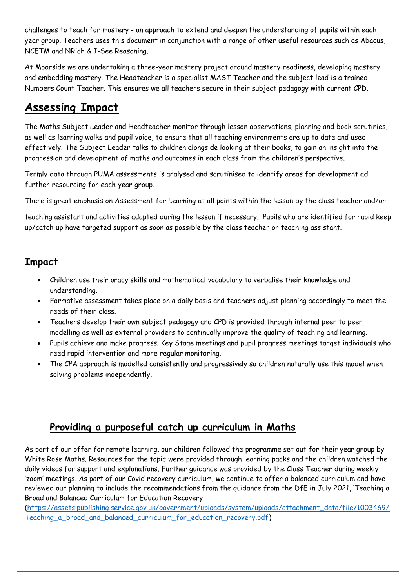challenges to teach for mastery - an approach to extend and deepen the understanding of pupils within each year group. Teachers uses this document in conjunction with a range of other useful resources such as Abacus, NCETM and NRich & I-See Reasoning.

At Moorside we are undertaking a three-year mastery project around mastery readiness, developing mastery and embedding mastery. The Headteacher is a specialist MAST Teacher and the subject lead is a trained Numbers Count Teacher. This ensures we all teachers secure in their subject pedagogy with current CPD.

## **Assessing Impact**

The Maths Subject Leader and Headteacher monitor through lesson observations, planning and book scrutinies, as well as learning walks and pupil voice, to ensure that all teaching environments are up to date and used effectively. The Subject Leader talks to children alongside looking at their books, to gain an insight into the progression and development of maths and outcomes in each class from the children's perspective.

Termly data through PUMA assessments is analysed and scrutinised to identify areas for development ad further resourcing for each year group.

There is great emphasis on Assessment for Learning at all points within the lesson by the class teacher and/or

teaching assistant and activities adapted during the lesson if necessary. Pupils who are identified for rapid keep up/catch up have targeted support as soon as possible by the class teacher or teaching assistant.

### **Impact**

- Children use their oracy skills and mathematical vocabulary to verbalise their knowledge and understanding.
- Formative assessment takes place on a daily basis and teachers adjust planning accordingly to meet the needs of their class.
- Teachers develop their own subject pedagogy and CPD is provided through internal peer to peer modelling as well as external providers to continually improve the quality of teaching and learning.
- Pupils achieve and make progress. Key Stage meetings and pupil progress meetings target individuals who need rapid intervention and more regular monitoring.
- The CPA approach is modelled consistently and progressively so children naturally use this model when solving problems independently.

### **Providing a purposeful catch up curriculum in Maths**

As part of our offer for remote learning, our children followed the programme set out for their year group by White Rose Maths. Resources for the topic were provided through learning packs and the children watched the daily videos for support and explanations. Further guidance was provided by the Class Teacher during weekly 'zoom' meetings. As part of our Covid recovery curriculum, we continue to offer a balanced curriculum and have reviewed our planning to include the recommendations from the guidance from the DfE in July 2021, 'Teaching a Broad and Balanced Curriculum for Education Recovery

[\(https://assets.publishing.service.gov.uk/government/uploads/system/uploads/attachment\\_data/file/1003469/](https://assets.publishing.service.gov.uk/government/uploads/system/uploads/attachment_data/file/1003469/Teaching_a_broad_and_balanced_curriculum_for_education_recovery.pdf) Teaching a broad and balanced curriculum for education recovery.pdf)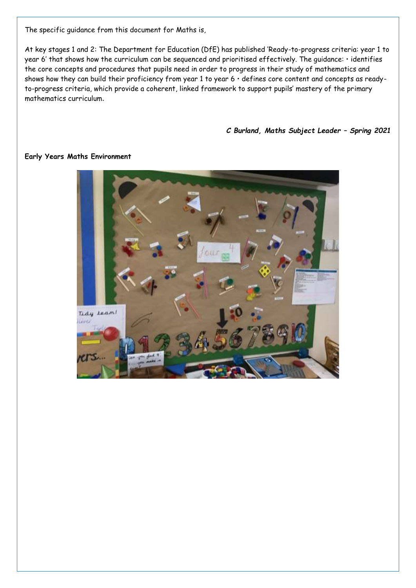The specific guidance from this document for Maths is,

At key stages 1 and 2: The Department for Education (DfE) has published 'Ready-to-progress criteria: year 1 to year 6' that shows how the curriculum can be sequenced and prioritised effectively. The guidance: • identifies the core concepts and procedures that pupils need in order to progress in their study of mathematics and shows how they can build their proficiency from year 1 to year 6 • defines core content and concepts as readyto-progress criteria, which provide a coherent, linked framework to support pupils' mastery of the primary mathematics curriculum.

*C Burland, Maths Subject Leader – Spring 2021*



#### **Early Years Maths Environment**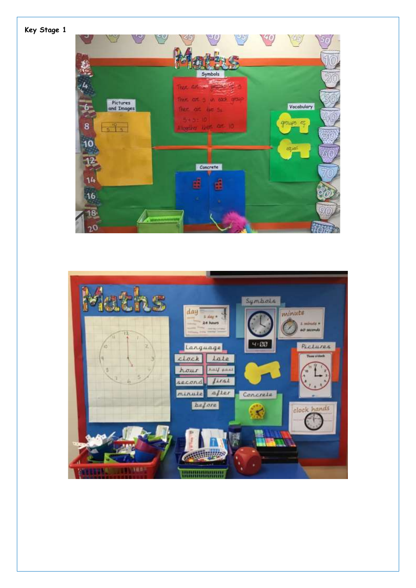**Key Stage 1**



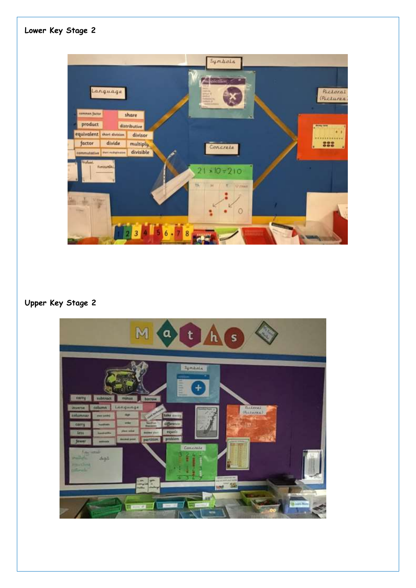

### **Upper Key Stage 2**